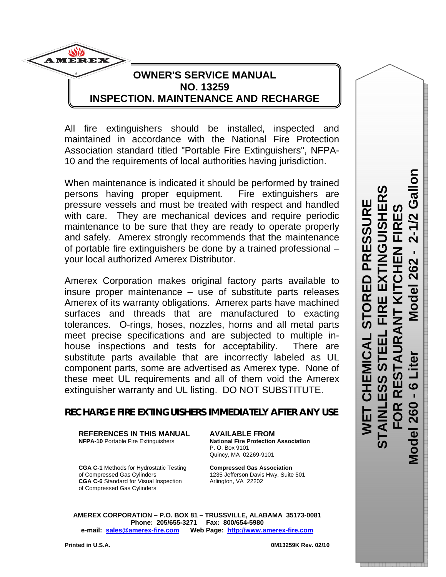**Model 260 - 6 Liter Model 262 - 2-1/2 Gallon STAINLESS STEEL FIRE EXTINGUISHERS FOR RESTAURANT KITCHEN FIRES**  U Ü Ш ശ œ **260** Vlode ળ

**WET CHEMICAL STORED PRESSURE** 

—<br>ഗ

冚  $\overline{\mathbf{R}}$ 

PRESSU

# **OWNER'S SERVICE MANUAL NO. 13259 INSPECTION, MAINTENANCE AND RECHARGE**

All fire extinguishers should be installed, inspected and maintained in accordance with the National Fire Protection Association standard titled "Portable Fire Extinguishers", NFPA-10 and the requirements of local authorities having jurisdiction.

When maintenance is indicated it should be performed by trained persons having proper equipment. Fire extinguishers are pressure vessels and must be treated with respect and handled with care. They are mechanical devices and require periodic maintenance to be sure that they are ready to operate properly and safely. Amerex strongly recommends that the maintenance of portable fire extinguishers be done by a trained professional – your local authorized Amerex Distributor.

Amerex Corporation makes original factory parts available to insure proper maintenance – use of substitute parts releases Amerex of its warranty obligations. Amerex parts have machined surfaces and threads that are manufactured to exacting tolerances. O-rings, hoses, nozzles, horns and all metal parts meet precise specifications and are subjected to multiple inhouse inspections and tests for acceptability. There are substitute parts available that are incorrectly labeled as UL component parts, some are advertised as Amerex type. None of these meet UL requirements and all of them void the Amerex extinguisher warranty and UL listing. DO NOT SUBSTITUTE.

# **RECHARGE FIRE EXTINGUISHERS IMMEDIATELY AFTER ANY USE**

**REFERENCES IN THIS MANUAL AVAILABLE FROM**

**National Fire Protection Association**  P. O. Box 9101 Quincy, MA 02269-9101

**CGA C-1** Methods for Hydrostatic Testing **Compressed Gas Association** of Compressed Gas Cylinders 1235 Jefferson Davis Hwy, Suite 501<br>
CGA C-6 Standard for Visual Inspection Arlington, VA 22202 **CGA C-6** Standard for Visual Inspection of Compressed Gas Cylinders

**AMEREX CORPORATION – P.O. BOX 81 – TRUSSVILLE, ALABAMA 35173-0081 Phone: 205/655-3271 Fax: 800/654-5980 e-mail: sales@amerex-fire.com Web Page: http://www.amerex-fire.com**

**AMEREX**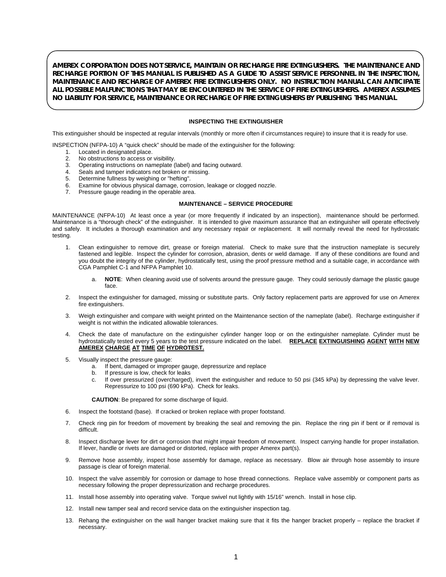**AMEREX CORPORATION DOES NOT SERVICE, MAINTAIN OR RECHARGE FIRE EXTINGUISHERS. THE MAINTENANCE AND RECHARGE PORTION OF THIS MANUAL IS PUBLISHED AS A GUIDE TO ASSIST SERVICE PERSONNEL IN THE INSPECTION, MAINTENANCE AND RECHARGE OF AMEREX FIRE EXTINGUISHERS ONLY. NO INSTRUCTION MANUAL CAN ANTICIPATE ALL POSSIBLE MALFUNCTIONS THAT MAY BE ENCOUNTERED IN THE SERVICE OF FIRE EXTINGUISHERS. AMEREX ASSUMES NO LIABILITY FOR SERVICE, MAINTENANCE OR RECHARGE OF FIRE EXTINGUISHERS BY PUBLISHING THIS MANUAL**.

#### **INSPECTING THE EXTINGUISHER**

This extinguisher should be inspected at regular intervals (monthly or more often if circumstances require) to insure that it is ready for use.

INSPECTION (NFPA-10) A "quick check" should be made of the extinguisher for the following:

- 1. Located in designated place.
- 2. No obstructions to access or visibility.
- 3. Operating instructions on nameplate (label) and facing outward.
- Seals and tamper indicators not broken or missing.
- 5. Determine fullness by weighing or "hefting".
- 6. Examine for obvious physical damage, corrosion, leakage or clogged nozzle.
- 7. Pressure gauge reading in the operable area.

#### **MAINTENANCE – SERVICE PROCEDURE**

MAINTENANCE (NFPA-10) At least once a year (or more frequently if indicated by an inspection), maintenance should be performed. Maintenance is a "thorough check" of the extinguisher. It is intended to give maximum assurance that an extinguisher will operate effectively and safely. It includes a thorough examination and any necessary repair or replacement. It will normally reveal the need for hydrostatic testing.

- 1. Clean extinguisher to remove dirt, grease or foreign material. Check to make sure that the instruction nameplate is securely fastened and legible. Inspect the cylinder for corrosion, abrasion, dents or weld damage. If any of these conditions are found and you doubt the integrity of the cylinder, hydrostatically test, using the proof pressure method and a suitable cage, in accordance with CGA Pamphlet C-1 and NFPA Pamphlet 10.
	- a. **NOTE**: When cleaning avoid use of solvents around the pressure gauge. They could seriously damage the plastic gauge face.
- 2. Inspect the extinguisher for damaged, missing or substitute parts. Only factory replacement parts are approved for use on Amerex fire extinguishers.
- 3. Weigh extinguisher and compare with weight printed on the Maintenance section of the nameplate (label). Recharge extinguisher if weight is not within the indicated allowable tolerances.
- 4. Check the date of manufacture on the extinguisher cylinder hanger loop or on the extinguisher nameplate. Cylinder must be hydrostatically tested every 5 years to the test pressure indicated on the label. **REPLACE EXTINGUISHING AGENT WITH NEW AMEREX CHARGE AT TIME OF HYDROTEST.**
- 5. Visually inspect the pressure gauge:
	- a. If bent, damaged or improper gauge, depressurize and replace
	- b. If pressure is low, check for leaks
	- c. If over pressurized (overcharged), invert the extinguisher and reduce to 50 psi (345 kPa) by depressing the valve lever. Repressurize to 100 psi (690 kPa). Check for leaks.

**CAUTION**: Be prepared for some discharge of liquid.

- 6. Inspect the footstand (base). If cracked or broken replace with proper footstand.
- 7. Check ring pin for freedom of movement by breaking the seal and removing the pin. Replace the ring pin if bent or if removal is difficult.
- 8. Inspect discharge lever for dirt or corrosion that might impair freedom of movement. Inspect carrying handle for proper installation. If lever, handle or rivets are damaged or distorted, replace with proper Amerex part(s).
- 9. Remove hose assembly, inspect hose assembly for damage, replace as necessary. Blow air through hose assembly to insure passage is clear of foreign material.
- 10. Inspect the valve assembly for corrosion or damage to hose thread connections. Replace valve assembly or component parts as necessary following the proper depressurization and recharge procedures.
- 11. Install hose assembly into operating valve. Torque swivel nut lightly with 15/16" wrench. Install in hose clip.
- 12. Install new tamper seal and record service data on the extinguisher inspection tag.
- 13. Rehang the extinguisher on the wall hanger bracket making sure that it fits the hanger bracket properly replace the bracket if necessary.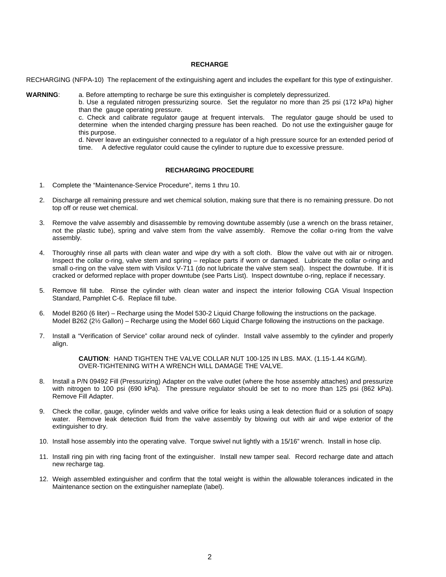### **RECHARGE**

RECHARGING (NFPA-10) The replacement of the extinguishing agent and includes the expellant for this type of extinguisher.

**WARNING**: a. Before attempting to recharge be sure this extinguisher is completely depressurized.

b. Use a regulated nitrogen pressurizing source. Set the regulator no more than 25 psi (172 kPa) higher than the gauge operating pressure.

 c. Check and calibrate regulator gauge at frequent intervals. The regulator gauge should be used to determine when the intended charging pressure has been reached. Do not use the extinguisher gauge for this purpose.

d. Never leave an extinguisher connected to a regulator of a high pressure source for an extended period of time. A defective regulator could cause the cylinder to rupture due to excessive pressure.

### **RECHARGING PROCEDURE**

- 1. Complete the "Maintenance-Service Procedure", items 1 thru 10.
- 2. Discharge all remaining pressure and wet chemical solution, making sure that there is no remaining pressure. Do not top off or reuse wet chemical.
- 3. Remove the valve assembly and disassemble by removing downtube assembly (use a wrench on the brass retainer, not the plastic tube), spring and valve stem from the valve assembly. Remove the collar o-ring from the valve assembly.
- 4. Thoroughly rinse all parts with clean water and wipe dry with a soft cloth. Blow the valve out with air or nitrogen. Inspect the collar o-ring, valve stem and spring – replace parts if worn or damaged. Lubricate the collar o-ring and small o-ring on the valve stem with Visilox V-711 (do not lubricate the valve stem seal). Inspect the downtube. If it is cracked or deformed replace with proper downtube (see Parts List). Inspect downtube o-ring, replace if necessary.
- 5. Remove fill tube. Rinse the cylinder with clean water and inspect the interior following CGA Visual Inspection Standard, Pamphlet C-6. Replace fill tube.
- 6. Model B260 (6 liter) Recharge using the Model 530-2 Liquid Charge following the instructions on the package. Model B262 (2½ Gallon) – Recharge using the Model 660 Liquid Charge following the instructions on the package.
- 7. Install a "Verification of Service" collar around neck of cylinder. Install valve assembly to the cylinder and properly align.

**CAUTION**: HAND TIGHTEN THE VALVE COLLAR NUT 100-125 IN LBS. MAX. (1.15-1.44 KG/M). OVER-TIGHTENING WITH A WRENCH WILL DAMAGE THE VALVE.

- 8. Install a P/N 09492 Fill (Pressurizing) Adapter on the valve outlet (where the hose assembly attaches) and pressurize with nitrogen to 100 psi (690 kPa). The pressure regulator should be set to no more than 125 psi (862 kPa). Remove Fill Adapter.
- 9. Check the collar, gauge, cylinder welds and valve orifice for leaks using a leak detection fluid or a solution of soapy water. Remove leak detection fluid from the valve assembly by blowing out with air and wipe exterior of the extinguisher to dry.
- 10. Install hose assembly into the operating valve. Torque swivel nut lightly with a 15/16" wrench. Install in hose clip.
- 11. Install ring pin with ring facing front of the extinguisher. Install new tamper seal. Record recharge date and attach new recharge tag.
- 12. Weigh assembled extinguisher and confirm that the total weight is within the allowable tolerances indicated in the Maintenance section on the extinguisher nameplate (label).